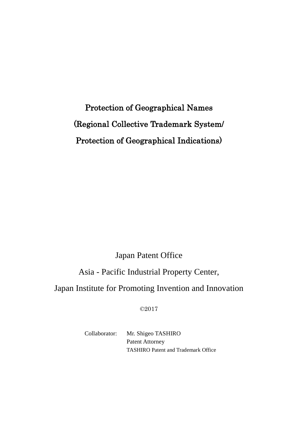# Protection of Geographical Names (Regional Collective Trademark System/ Protection of Geographical Indications)

# Japan Patent Office

# Asia - Pacific Industrial Property Center,

# Japan Institute for Promoting Invention and Innovation

©2017

Collaborator: Mr. Shigeo TASHIRO Patent Attorney TASHIRO Patent and Trademark Office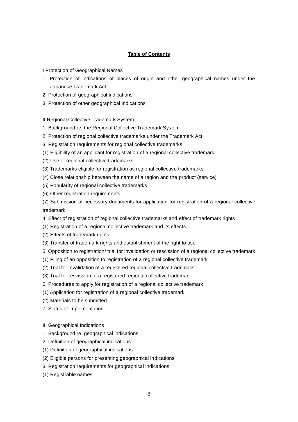# **Table of Contents**

I Protection of Geographical Names

- 1. Protection of indications of places of origin and other geographical names under the Japanese Trademark Act
- 2. Protection of geographical indications
- 3. Protection of other geographical indications
- II Regional Collective Trademark System
- 1. Background re. the Regional Collective Trademark System
- 2. Protection of regional collective trademarks under the Trademark Act
- 3. Registration requirements for regional collective trademarks
- (1) Eligibility of an applicant for registration of a regional collective trademark
- (2) Use of regional collective trademarks
- (3) Trademarks eligible for registration as regional collective trademarks
- (4) Close relationship between the name of a region and the product (service)
- (5) Popularity of regional collective trademarks
- (6) Other registration requirements
- (7) Submission of necessary documents for application for registration of a regional collective trademark
- 4. Effect of registration of regional collective trademarks and effect of trademark rights
- (1) Registration of a regional collective trademark and its effects
- (2) Effects of trademark rights
- (3) Transfer of trademark rights and establishment of the right to use
- 5. Opposition to registration/ trial for invalidation or rescission of a regional collective trademark
- (1) Filing of an opposition to registration of a regional collective trademark
- (2) Trial for invalidation of a registered regional collective trademark
- (3) Trial for rescission of a registered regional collective trademark
- 6. Procedures to apply for registration of a regional collective trademark
- (1) Application for registration of a regional collective trademark
- (2) Materials to be submitted
- 7. Status of implementation
- III Geographical Indications
- 1. Background re. geographical indications
- 2. Definition of geographical indications
- (1) Definition of geographical indications
- (2) Eligible persons for presenting geographical indications
- 3. Registration requirements for geographical indications
- (1) Registrable names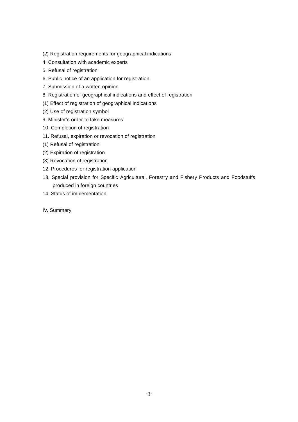- (2) Registration requirements for geographical indications
- 4. Consultation with academic experts
- 5. Refusal of registration
- 6. Public notice of an application for registration
- 7. Submission of a written opinion
- 8. Registration of geographical indications and effect of registration
- (1) Effect of registration of geographical indications
- (2) Use of registration symbol
- 9. Minister's order to take measures
- 10. Completion of registration
- 11. Refusal, expiration or revocation of registration
- (1) Refusal of registration
- (2) Expiration of registration
- (3) Revocation of registration
- 12. Procedures for registration application
- 13. Special provision for Specific Agricultural, Forestry and Fishery Products and Foodstuffs produced in foreign countries
- 14. Status of implementation
- IV. Summary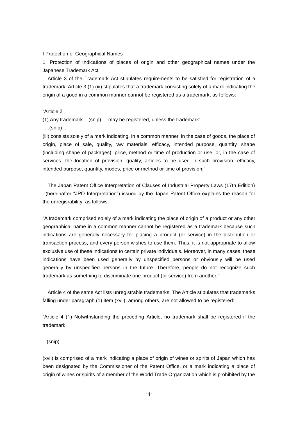#### I Protection of Geographical Names

1. Protection of indications of places of origin and other geographical names under the Japanese Trademark Act

Article 3 of the Trademark Act stipulates requirements to be satisfied for registration of a trademark. Article 3 (1) (iii) stipulates that a trademark consisting solely of a mark indicating the origin of a good in a common manner cannot be registered as a trademark, as follows:

# "Article 3

(1) Any trademark ...(snip) ... may be registered, unless the trademark:

...(snip) ...

(iii) consists solely of a mark indicating, in a common manner, in the case of goods, the place of origin, place of sale, quality, raw materials, efficacy, intended purpose, quantity, shape (including shape of packages), price, method or time of production or use, or, in the case of services, the location of provision, quality, articles to be used in such provision, efficacy, intended purpose, quantity, modes, price or method or time of provision;"

The Japan Patent Office Interpretation of Clauses of Industrial Property Laws (17th Edition) <sup>1</sup>(hereinafter "JPO Interpretation") issued by the Japan Patent Office explains the reason for the unregisrability; as follows:

"A trademark comprised solely of a mark indicating the place of origin of a product or any other geographical name in a common manner cannot be registered as a trademark because such indications are generally necessary for placing a product (or service) in the distribution or transaction process, and every person wishes to use them. Thus, it is not appropriate to allow exclusive use of these indications to certain private individuals. Moreover, in many cases, these indications have been used generally by unspecified persons or obviously will be used generally by unspecified persons in the future. Therefore, people do not recognize such trademark as something to discriminate one product (or service) from another."

Article 4 of the same Act lists unregistrable trademarks. The Article stipulates that trademarks falling under paragraph (1) item (xvii), among others, are not allowed to be registered:

"Article 4 (1) Notwithstanding the preceding Article, no trademark shall be registered if the trademark:

# ...(snip)...

(xvii) is comprised of a mark indicating a place of origin of wines or spirits of Japan which has been designated by the Commissioner of the Patent Office, or a mark indicating a place of origin of wines or spirits of a member of the World Trade Organization which is prohibited by the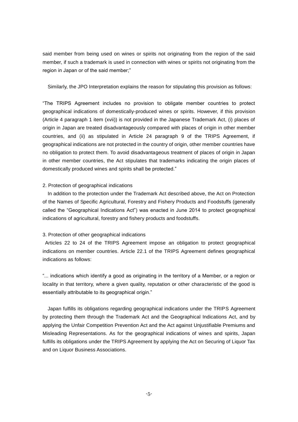said member from being used on wines or spirits not originating from the region of the said member, if such a trademark is used in connection with wines or spirits not originating from the region in Japan or of the said member;"

Similarly, the JPO Interpretation explains the reason for stipulating this provision as follows:

"The TRIPS Agreement includes no provision to obligate member countries to protect geographical indications of domestically-produced wines or spirits. However, if this provision (Article 4 paragraph 1 item (xvii)) is not provided in the Japanese Trademark Act, (i) places of origin in Japan are treated disadvantageously compared with places of origin in other member countries, and (ii) as stipulated in Article 24 paragraph 9 of the TRIPS Agreement, if geographical indications are not protected in the country of origin, other member countries have no obligation to protect them. To avoid disadvantageous treatment of places of origin in Japan in other member countries, the Act stipulates that trademarks indicating the origin places of domestically produced wines and spirits shall be protected."

# 2. Protection of geographical indications

In addition to the protection under the Trademark Act described above, the Act on Protection of the Names of Specific Agricultural, Forestry and Fishery Products and Foodstuffs (generally called the "Geographical Indications Act") was enacted in June 2014 to protect geographical indications of agricultural, forestry and fishery products and foodstuffs.

# 3. Protection of other geographical indications

Articles 22 to 24 of the TRIPS Agreement impose an obligation to protect geographical indications on member countries. Article 22.1 of the TRIPS Agreement defines geographical indications as follows:

"... indications which identify a good as originating in the territory of a Member, or a region or locality in that territory, where a given quality, reputation or other characteristic of the good is essentially attributable to its geographical origin."

Japan fulfills its obligations regarding geographical indications under the TRIPS Agreement by protecting them through the Trademark Act and the Geographical Indications Act, and by applying the Unfair Competition Prevention Act and the Act against Unjustifiable Premiums and Misleading Representations. As for the geographical indications of wines and spirits, Japan fulfills its obligations under the TRIPS Agreement by applying the Act on Securing of Liquor Tax and on Liquor Business Associations.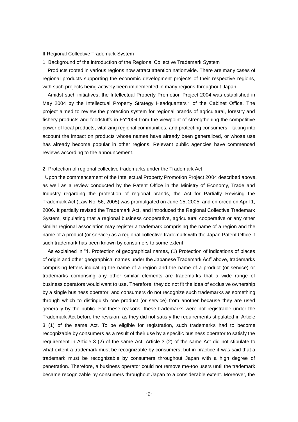#### II Regional Collective Trademark System

1. Background of the introduction of the Regional Collective Trademark System

Products rooted in various regions now attract attention nationwide. There are many cases of regional products supporting the economic development projects of their respective regions, with such projects being actively been implemented in many regions throughout Japan.

Amidst such initiatives, the Intellectual Property Promotion Project 2004 was established in May 2004 by the Intellectual Property Strategy Headquarters<sup>2</sup> of the Cabinet Office. The project aimed to review the protection system for regional brands of agricultural, forestry and fishery products and foodstuffs in FY2004 from the viewpoint of strengthening the competitive power of local products, vitalizing regional communities, and protecting consumers—taking into account the impact on products whose names have already been generalized, or whose use has already become popular in other regions. Relevant public agencies have commenced reviews according to the announcement.

#### 2. Protection of regional collective trademarks under the Trademark Act

Upon the commencement of the Intellectual Property Promotion Project 2004 described above, as well as a review conducted by the Patent Office in the Ministry of Economy, Trade and Industry regarding the protection of regional brands, the Act for Partially Revising the Trademark Act (Law No. 56, 2005) was promulgated on June 15, 2005, and enforced on April 1, 2006. It partially revised the Trademark Act, and introduced the Regional Collective Trademark System, stipulating that a regional business cooperative, agricultural cooperative or any other similar regional association may register a trademark comprising the name of a region and the name of a product (or service) as a regional collective trademark with the Japan Patent Office if such trademark has been known by consumers to some extent.

As explained in "1. Protection of geographical names, (1) Protection of indications of places of origin and other geographical names under the Japanese Trademark Act" above, trademarks comprising letters indicating the name of a region and the name of a product (or service) or trademarks comprising any other similar elements are trademarks that a wide range of business operators would want to use. Therefore, they do not fit the idea of exclusive ownership by a single business operator, and consumers do not recognize such trademarks as something through which to distinguish one product (or service) from another because they are used generally by the public. For these reasons, these trademarks were not registrable under the Trademark Act before the revision, as they did not satisfy the requirements stipulated in Article 3 (1) of the same Act. To be eligible for registration, such trademarks had to become recognizable by consumers as a result of their use by a specific business operator to satisfy the requirement in Article 3 (2) of the same Act. Article 3 (2) of the same Act did not stipulate to what extent a trademark must be recognizable by consumers, but in practice it was said that a trademark must be recognizable by consumers throughout Japan with a high degree of penetration. Therefore, a business operator could not remove me-too users until the trademark became recognizable by consumers throughout Japan to a considerable extent. Moreover, the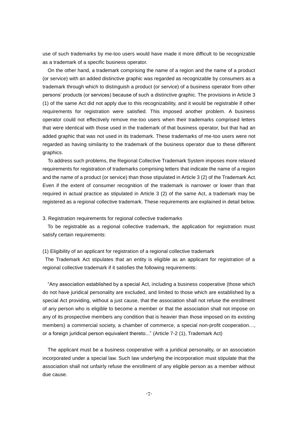use of such trademarks by me-too users would have made it more difficult to be recognizable as a trademark of a specific business operator.

On the other hand, a trademark comprising the name of a region and the name of a product (or service) with an added distinctive graphic was regarded as recognizable by consumers as a trademark through which to distinguish a product (or service) of a business operator from other persons' products (or services) because of such a distinctive graphic. The provisions in Article 3 (1) of the same Act did not apply due to this recognizability, and it would be registrable if other requirements for registration were satisfied. This imposed another problem. A business operator could not effectively remove me-too users when their trademarks comprised letters that were identical with those used in the trademark of that business operator, but that had an added graphic that was not used in its trademark. These trademarks of me-too users were not regarded as having similarity to the trademark of the business operator due to these different graphics.

To address such problems, the Regional Collective Trademark System imposes more relaxed requirements for registration of trademarks comprising letters that indicate the name of a region and the name of a product (or service) than those stipulated in Article 3 (2) of the Trademark Act. Even if the extent of consumer recognition of the trademark is narrower or lower than that required in actual practice as stipulated in Article 3 (2) of the same Act, a trademark may be registered as a regional collective trademark. These requirements are explained in detail below.

3. Registration requirements for regional collective trademarks

To be registrable as a regional collective trademark, the application for registration must satisfy certain requirements:

(1) Eligibility of an applicant for registration of a regional collective trademark

The Trademark Act stipulates that an entity is eligible as an applicant for registration of a regional collective trademark if it satisfies the following requirements:

"Any association established by a special Act, including a business cooperative (those which do not have juridical personality are excluded, and limited to those which are established by a special Act providing, without a just cause, that the association shall not refuse the enrollment of any person who is eligible to become a member or that the association shall not impose on any of its prospective members any condition that is heavier than those imposed on its existing members) a commercial society, a chamber of commerce, a special non-profit cooperation…, or a foreign juridical person equivalent thereto..." (Article 7-2 (1), Trademark Act)

The applicant must be a business cooperative with a juridical personality, or an association incorporated under a special law. Such law underlying the incorporation must stipulate that the association shall not unfairly refuse the enrollment of any eligible person as a member without due cause.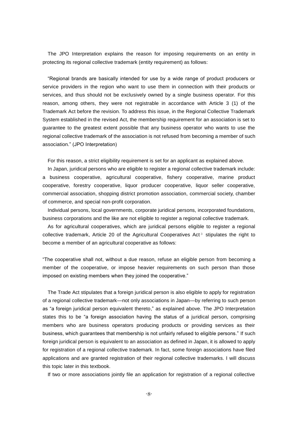The JPO Interpretation explains the reason for imposing requirements on an entity in protecting its regional collective trademark (entity requirement) as follows:

"Regional brands are basically intended for use by a wide range of product producers or service providers in the region who want to use them in connection with their products or services, and thus should not be exclusively owned by a single business operator. For this reason, among others, they were not registrable in accordance with Article 3 (1) of the Trademark Act before the revision. To address this issue, in the Regional Collective Trademark System established in the revised Act, the membership requirement for an association is set to guarantee to the greatest extent possible that any business operator who wants to use the regional collective trademark of the association is not refused from becoming a member of such association." (JPO Interpretation)

For this reason, a strict eligibility requirement is set for an applicant as explained above.

In Japan, juridical persons who are eligible to register a regional collective trademark include: a business cooperative, agricultural cooperative, fishery cooperative, marine product cooperative, forestry cooperative, liquor producer cooperative, liquor seller cooperative, commercial association, shopping district promotion association, commercial society, chamber of commerce, and special non-profit corporation.

Individual persons, local governments, corporate juridical persons, incorporated foundations, business corporations and the like are not eligible to register a regional collective trademark.

As for agricultural cooperatives, which are juridical persons eligible to register a regional collective trademark, Article 20 of the Agricultural Cooperatives Act<sup>3</sup> stipulates the right to become a member of an agricultural cooperative as follows:

"The cooperative shall not, without a due reason, refuse an eligible person from becoming a member of the cooperative, or impose heavier requirements on such person than those imposed on existing members when they joined the cooperative."

The Trade Act stipulates that a foreign juridical person is also eligible to apply for registration of a regional collective trademark—not only associations in Japan—by referring to such person as "a foreign juridical person equivalent thereto," as explained above. The JPO Interpretation states this to be "a foreign association having the status of a juridical person, comprising members who are business operators producing products or providing services as their business, which guarantees that membership is not unfairly refused to eligible persons." If such foreign juridical person is equivalent to an association as defined in Japan, it is allowed to apply for registration of a regional collective trademark. In fact, some foreign associations have filed applications and are granted registration of their regional collective trademarks. I will discuss this topic later in this textbook.

If two or more associations jointly file an application for registration of a regional collective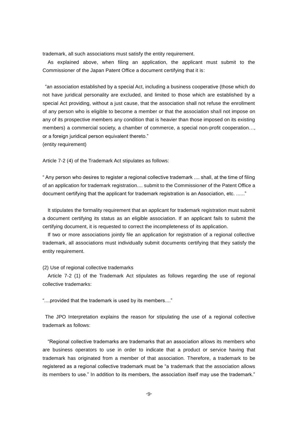trademark, all such associations must satisfy the entity requirement.

As explained above, when filing an application, the applicant must submit to the Commissioner of the Japan Patent Office a document certifying that it is:

"an association established by a special Act, including a business cooperative (those which do not have juridical personality are excluded, and limited to those which are established by a special Act providing, without a just cause, that the association shall not refuse the enrollment of any person who is eligible to become a member or that the association shall not impose on any of its prospective members any condition that is heavier than those imposed on its existing members) a commercial society, a chamber of commerce, a special non-profit cooperation…, or a foreign juridical person equivalent thereto."

(entity requirement)

Article 7-2 (4) of the Trademark Act stipulates as follows:

" Any person who desires to register a regional collective trademark .... shall, at the time of filing of an application for trademark registration.... submit to the Commissioner of the Patent Office a document certifying that the applicant for trademark registration is an Association, etc. ......"

It stipulates the formality requirement that an applicant for trademark registration must submit a document certifying its status as an eligible association. If an applicant fails to submit the certifying document, it is requested to correct the incompleteness of its application.

If two or more associations jointly file an application for registration of a regional collective trademark, all associations must individually submit documents certifying that they satisfy the entity requirement.

#### (2) Use of regional collective trademarks

Article 7-2 (1) of the Trademark Act stipulates as follows regarding the use of regional collective trademarks:

"....provided that the trademark is used by its members...."

The JPO Interpretation explains the reason for stipulating the use of a regional collective trademark as follows:

"Regional collective trademarks are trademarks that an association allows its members who are business operators to use in order to indicate that a product or service having that trademark has originated from a member of that association. Therefore, a trademark to be registered as a regional collective trademark must be "a trademark that the association allows its members to use." In addition to its members, the association itself may use the trademark."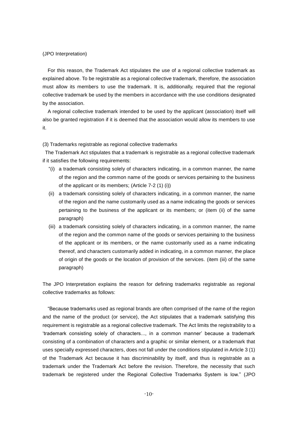# (JPO Interpretation)

For this reason, the Trademark Act stipulates the use of a regional collective trademark as explained above. To be registrable as a regional collective trademark, therefore, the association must allow its members to use the trademark. It is, additionally, required that the regional collective trademark be used by the members in accordance with the use conditions designated by the association.

A regional collective trademark intended to be used by the applicant (association) itself will also be granted registration if it is deemed that the association would allow its members to use it.

(3) Trademarks registrable as regional collective trademarks

The Trademark Act stipulates that a trademark is registrable as a regional collective trademark if it satisfies the following requirements:

- "(i) a trademark consisting solely of characters indicating, in a common manner, the name of the region and the common name of the goods or services pertaining to the business of the applicant or its members; (Article 7-2 (1) (i))
- (ii) a trademark consisting solely of characters indicating, in a common manner, the name of the region and the name customarily used as a name indicating the goods or services pertaining to the business of the applicant or its members; or (item (ii) of the same paragraph)
- (iii) a trademark consisting solely of characters indicating, in a common manner, the name of the region and the common name of the goods or services pertaining to the business of the applicant or its members, or the name customarily used as a name indicating thereof, and characters customarily added in indicating, in a common manner, the place of origin of the goods or the location of provision of the services. (item (iii) of the same paragraph)

The JPO Interpretation explains the reason for defining trademarks registrable as regional collective trademarks as follows:

"Because trademarks used as regional brands are often comprised of the name of the region and the name of the product (or service), the Act stipulates that a trademark satisfying this requirement is registrable as a regional collective trademark. The Act limits the registrability to a 'trademark consisting solely of characters..., in a common manner' because a trademark consisting of a combination of characters and a graphic or similar element, or a trademark that uses specially expressed characters, does not fall under the conditions stipulated in Article 3 (1) of the Trademark Act because it has discriminability by itself, and thus is registrable as a trademark under the Trademark Act before the revision. Therefore, the necessity that such trademark be registered under the Regional Collective Trademarks System is low." (JPO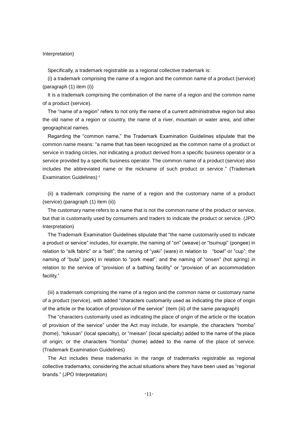### Interpretation)

Specifically, a trademark registrable as a regional collective trademark is:

(i) a trademark comprising the name of a region and the common name of a product (service) (paragraph (1) item (i))

It is a trademark comprising the combination of the name of a region and the common name of a product (service).

The "name of a region" refers to not only the name of a current administrative region but also the old name of a region or country, the name of a river, mountain or water area, and other geographical names.

Regarding the "common name," the Trademark Examination Guidelines stipulate that the common name means: "a name that has been recognized as the common name of a product or service in trading circles, not indicating a product derived from a specific business operator or a service provided by a specific business operator. The common name of a product (service) also includes the abbreviated name or the nickname of such product or service." (Trademark Examination Guidelines)<sup>4</sup>

(ii) a trademark comprising the name of a region and the customary name of a product (service) (paragraph (1) item (ii))

The customary name refers to a name that is not the common name of the product or service, but that is customarily used by consumers and traders to indicate the product or service. (JPO Interpretation)

The Trademark Examination Guidelines stipulate that "the name customarily used to indicate a product or service" includes, for example, the naming of "ori" (weave) or "tsumugi" (pongee) in relation to "silk fabric" or a "belt"; the naming of "yaki" (ware) in relation to "bowl" or "cup"; the naming of "buta" (pork) in relation to "pork meat"; and the naming of "onsen" (hot spring) in relation to the service of "provision of a bathing facility" or "provision of an accommodation facility."

(iii) a trademark comprising the name of a region and the common name or customary name of a product (service), with added "characters customarily used as indicating the place of origin of the article or the location of provision of the service" (item (iii) of the same paragraph)

The "characters customarily used as indicating the place of origin of the article or the location of provision of the service" under the Act may include, for example, the characters "homba" (home), "tokusan" (local specialty), or "meisan" (local specialty) added to the name of the place of origin; or the characters "homba" (home) added to the name of the place of service. (Trademark Examination Guidelines)

The Act includes these trademarks in the range of trademarks registrable as regional collective trademarks, considering the actual situations where they have been used as "regional brands." (JPO Interpretation)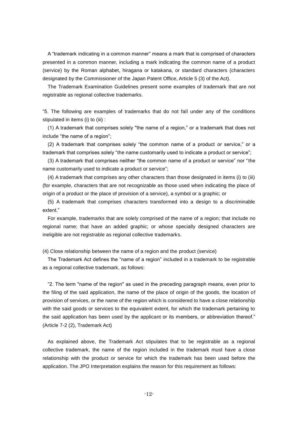A "trademark indicating in a common manner" means a mark that is comprised of characters presented in a common manner, including a mark indicating the common name of a product (service) by the Roman alphabet, hiragana or katakana, or standard characters (characters designated by the Commissioner of the Japan Patent Office, Article 5 (3) of the Act).

The Trademark Examination Guidelines present some examples of trademark that are not registrable as regional collective trademarks.

"5. The following are examples of trademarks that do not fall under any of the conditions stipulated in items (i) to (iii) :

(1) A trademark that comprises solely "the name of a region," or a trademark that does not include "the name of a region";

(2) A trademark that comprises solely "the common name of a product or service," or a trademark that comprises solely "the name customarily used to indicate a product or service";

(3) A trademark that comprises neither "the common name of a product or service" nor "the name customarily used to indicate a product or service";

(4) A trademark that comprises any other characters than those designated in items (i) to (iii) (for example, characters that are not recognizable as those used when indicating the place of origin of a product or the place of provision of a service), a symbol or a graphic; or

(5) A trademark that comprises characters transformed into a design to a discriminable extent."

For example, trademarks that are solely comprised of the name of a region; that include no regional name; that have an added graphic; or whose specially designed characters are ineligible are not registrable as regional collective trademarks.

(4) Close relationship between the name of a region and the product (service)

The Trademark Act defines the "name of a region" included in a trademark to be registrable as a regional collective trademark, as follows:

"2. The term "name of the region" as used in the preceding paragraph means, even prior to the filing of the said application, the name of the place of origin of the goods, the location of provision of services, or the name of the region which is considered to have a close relationship with the said goods or services to the equivalent extent, for which the trademark pertaining to the said application has been used by the applicant or its members, or abbreviation thereof." (Article 7-2 (2), Trademark Act)

As explained above, the Trademark Act stipulates that to be registrable as a regional collective trademark, the name of the region included in the trademark must have a close relationship with the product or service for which the trademark has been used before the application. The JPO Interpretation explains the reason for this requirement as follows: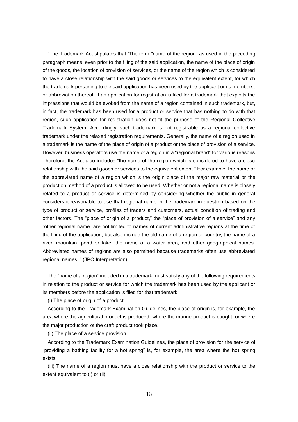"The Trademark Act stipulates that 'The term "name of the region" as used in the preceding paragraph means, even prior to the filing of the said application, the name of the place of origin of the goods, the location of provision of services, or the name of the region which is considered to have a close relationship with the said goods or services to the equivalent extent, for which the trademark pertaining to the said application has been used by the applicant or its members, or abbreviation thereof. If an application for registration is filed for a trademark that exploits the impressions that would be evoked from the name of a region contained in such trademark, but, in fact, the trademark has been used for a product or service that has nothing to do with that region, such application for registration does not fit the purpose of the Regional Collective Trademark System. Accordingly, such trademark is not registrable as a regional collective trademark under the relaxed registration requirements. Generally, the name of a region used in a trademark is the name of the place of origin of a product or the place of provision of a service. However, business operators use the name of a region in a "regional brand" for various reasons. Therefore, the Act also includes "the name of the region which is considered to have a close relationship with the said goods or services to the equivalent extent." For example, the name or the abbreviated name of a region which is the origin place of the major raw material or the production method of a product is allowed to be used. Whether or not a regional name is closely related to a product or service is determined by considering whether the public in general considers it reasonable to use that regional name in the trademark in question based on the type of product or service, profiles of traders and customers, actual condition of trading and other factors. The "place of origin of a product," the "place of provision of a service" and any "other regional name" are not limited to names of current administrative regions at the time of the filing of the application, but also include the old name of a region or country, the name of a river, mountain, pond or lake, the name of a water area, and other geographical names. Abbreviated names of regions are also permitted because trademarks often use abbreviated regional names.'" (JPO Interpretation)

The "name of a region" included in a trademark must satisfy any of the following requirements in relation to the product or service for which the trademark has been used by the applicant or its members before the application is filed for that trademark:

(i) The place of origin of a product

According to the Trademark Examination Guidelines, the place of origin is, for example, the area where the agricultural product is produced, where the marine product is caught, or where the major production of the craft product took place.

(ii) The place of a service provision

According to the Trademark Examination Guidelines, the place of provision for the service of "providing a bathing facility for a hot spring" is, for example, the area where the hot spring exists.

(iii) The name of a region must have a close relationship with the product or service to the extent equivalent to (i) or (ii).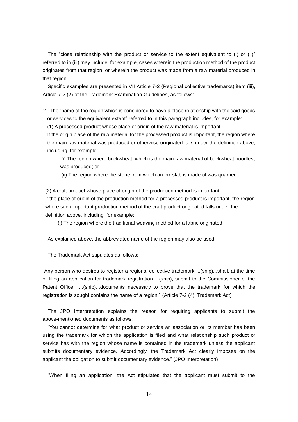The "close relationship with the product or service to the extent equivalent to (i) or (ii)" referred to in (iii) may include, for example, cases wherein the production method of the product originates from that region, or wherein the product was made from a raw material produced in that region.

Specific examples are presented in VII Article 7-2 (Regional collective trademarks) item (iii), Article 7-2 (2) of the Trademark Examination Guidelines, as follows:

"4. The "name of the region which is considered to have a close relationship with the said goods or services to the equivalent extent" referred to in this paragraph includes, for example:

(1) A processed product whose place of origin of the raw material is important

If the origin place of the raw material for the processed product is important, the region where the main raw material was produced or otherwise originated falls under the definition above, including, for example:

(i) The region where buckwheat, which is the main raw material of buckwheat noodles, was produced; or

(ii) The region where the stone from which an ink slab is made of was quarried.

(2) A craft product whose place of origin of the production method is important If the place of origin of the production method for a processed product is important, the region where such important production method of the craft product originated falls under the definition above, including, for example:

(i) The region where the traditional weaving method for a fabric originated

As explained above, the abbreviated name of the region may also be used.

The Trademark Act stipulates as follows:

"Any person who desires to register a regional collective trademark ...(snip)...shall, at the time of filing an application for trademark registration ...(snip), submit to the Commissioner of the Patent Office ...(snip)...documents necessary to prove that the trademark for which the registration is sought contains the name of a region." (Article 7-2 (4), Trademark Act)

The JPO Interpretation explains the reason for requiring applicants to submit the above-mentioned documents as follows:

"You cannot determine for what product or service an association or its member has been using the trademark for which the application is filed and what relationship such product or service has with the region whose name is contained in the trademark unless the applicant submits documentary evidence. Accordingly, the Trademark Act clearly imposes on the applicant the obligation to submit documentary evidence." (JPO Interpretation)

"When filing an application, the Act stipulates that the applicant must submit to the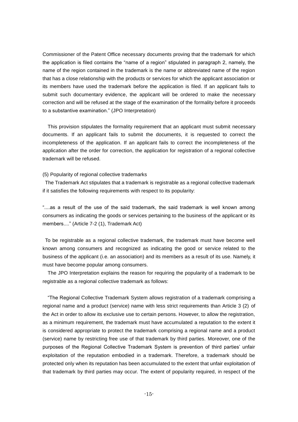Commissioner of the Patent Office necessary documents proving that the trademark for which the application is filed contains the "name of a region" stipulated in paragraph 2, namely, the name of the region contained in the trademark is the name or abbreviated name of the region that has a close relationship with the products or services for which the applicant association or its members have used the trademark before the application is filed. If an applicant fails to submit such documentary evidence, the applicant will be ordered to make the necessary correction and will be refused at the stage of the examination of the formality before it proceeds to a substantive examination." (JPO Interpretation)

This provision stipulates the formality requirement that an applicant must submit necessary documents. If an applicant fails to submit the documents, it is requested to correct the incompleteness of the application. If an applicant fails to correct the incompleteness of the application after the order for correction, the application for registration of a regional collective trademark will be refused.

# (5) Popularity of regional collective trademarks

The Trademark Act stipulates that a trademark is registrable as a regional collective trademark if it satisfies the following requirements with respect to its popularity:

"....as a result of the use of the said trademark, the said trademark is well known among consumers as indicating the goods or services pertaining to the business of the applicant or its members...." (Article 7-2 (1), Trademark Act)

To be registrable as a regional collective trademark, the trademark must have become well known among consumers and recognized as indicating the good or service related to the business of the applicant (i.e. an association) and its members as a result of its use. Namely, it must have become popular among consumers.

The JPO Interpretation explains the reason for requiring the popularity of a trademark to be registrable as a regional collective trademark as follows:

"The Regional Collective Trademark System allows registration of a trademark comprising a regional name and a product (service) name with less strict requirements than Article 3 (2) of the Act in order to allow its exclusive use to certain persons. However, to allow the registration, as a minimum requirement, the trademark must have accumulated a reputation to the extent it is considered appropriate to protect the trademark comprising a regional name and a product (service) name by restricting free use of that trademark by third parties. Moreover, one of the purposes of the Regional Collective Trademark System is prevention of third parties' unfair exploitation of the reputation embodied in a trademark. Therefore, a trademark should be protected only when its reputation has been accumulated to the extent that unfair exploitation of that trademark by third parties may occur. The extent of popularity required, in respect of the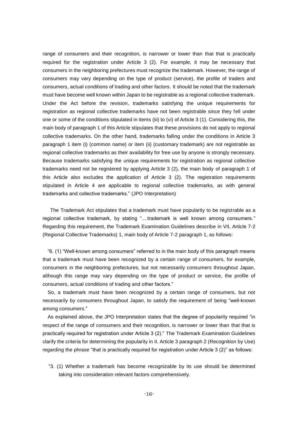range of consumers and their recognition, is narrower or lower than that that is practically required for the registration under Article 3 (2). For example, it may be necessary that consumers in the neighboring prefectures must recognize the trademark. However, the range of consumers may vary depending on the type of product (service), the profile of traders and consumers, actual conditions of trading and other factors. It should be noted that the trademark must have become well known within Japan to be registrable as a regional collective trademark. Under the Act before the revision, trademarks satisfying the unique requirements for registration as regional collective trademarks have not been registrable since they fell under one or some of the conditions stipulated in items (iii) to (vi) of Article 3 (1). Considering this, the main body of paragraph 1 of this Article stipulates that these provisions do not apply to regional collective trademarks. On the other hand, trademarks falling under the conditions in Article 3 paragraph 1 item (i) (common name) or item (ii) (customary trademark) are not registrable as regional collective trademarks as their availability for free use by anyone is strongly necessary. Because trademarks satisfying the unique requirements for registration as regional collective trademarks need not be registered by applying Article 3 (2), the main body of paragraph 1 of this Article also excludes the application of Article 3 (2). The registration requirements stipulated in Article 4 are applicable to regional collective trademarks, as with general trademarks and collective trademarks." (JPO Interpretation)

The Trademark Act stipulates that a trademark must have popularity to be registrable as a regional collective trademark, by stating "....trademark is well known among consumers." Regarding this requirement, the Trademark Examination Guidelines describe in VII, Article 7-2 (Regional Collective Trademarks) 1, main body of Article 7-2 paragraph 1, as follows:

"6. (1) "Well-known among consumers" referred to in the main body of this paragraph means that a trademark must have been recognized by a certain range of consumers, for example, consumers in the neighboring prefectures, but not necessarily consumers throughout Japan, although this range may vary depending on the type of product or service, the profile of consumers, actual conditions of trading and other factors."

So, a trademark must have been recognized by a certain range of consumers, but not necessarily by consumers throughout Japan, to satisfy the requirement of being "well-known among consumers."

As explained above, the JPO Interpretation states that the degree of popularity required "in respect of the range of consumers and their recognition, is narrower or lower than that that is practically required for registration under Article 3 (2)." The Trademark Examination Guidelines clarify the criteria for determining the popularity in II. Article 3 paragraph 2 (Recognition by Use) regarding the phrase "that is practically required for registration under Article 3 (2)" as follows:

"3. (1) Whether a trademark has become recognizable by its use should be determined taking into consideration relevant factors comprehensively.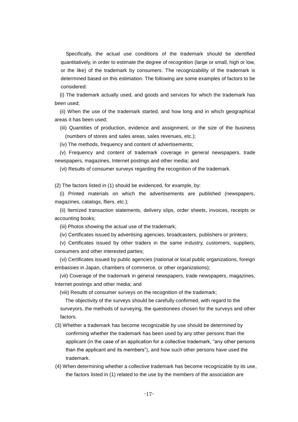Specifically, the actual use conditions of the trademark should be identified quantitatively, in order to estimate the degree of recognition (large or small, high or low, or the like) of the trademark by consumers. The recognizability of the trademark is determined based on this estimation. The following are some examples of factors to be considered:

(i) The trademark actually used, and goods and services for which the trademark has been used;

(ii) When the use of the trademark started, and how long and in which geographical areas it has been used;

- (iii) Quantities of production, evidence and assignment, or the size of the business (numbers of stores and sales areas, sales revenues, etc.);
- (iv) The methods, frequency and content of advertisements;

(v) Frequency and content of trademark coverage in general newspapers, trade newspapers, magazines, Internet postings and other media; and

(vi) Results of consumer surveys regarding the recognition of the trademark.

(2) The factors listed in (1) should be evidenced, for example, by:

(i) Printed materials on which the advertisements are published (newspapers, magazines, catalogs, fliers, etc.);

(ii) Itemized transaction statements, delivery slips, order sheets, invoices, receipts or accounting books;

(iii) Photos showing the actual use of the trademark;

(iv) Certificates issued by advertising agencies, broadcasters, publishers or printers;

(v) Certificates issued by other traders in the same industry, customers, suppliers, consumers and other interested parties;

(vi) Certificates issued by public agencies (national or local public organizations, foreign embassies in Japan, chambers of commerce, or other organizations);

(vii) Coverage of the trademark in general newspapers, trade newspapers, magazines, Internet postings and other media; and

(viii) Results of consumer surveys on the recognition of the trademark;

The objectivity of the surveys should be carefully confirmed, with regard to the surveyors, the methods of surveying, the questionees chosen for the surveys and other factors.

- (3) Whether a trademark has become recognizable by use should be determined by confirming whether the trademark has been used by any other persons than the applicant (in the case of an application for a collective trademark, "any other persons than the applicant and its members"), and how such other persons have used the trademark.
- (4) When determining whether a collective trademark has become recognizable by its use, the factors listed in (1) related to the use by the members of the association are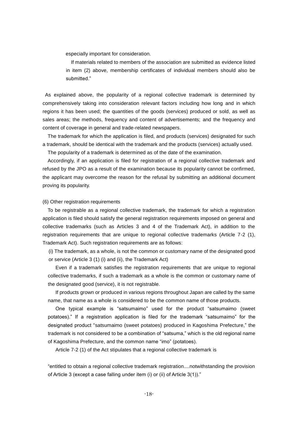especially important for consideration.

If materials related to members of the association are submitted as evidence listed in item (2) above, membership certificates of individual members should also be submitted."

As explained above, the popularity of a regional collective trademark is determined by comprehensively taking into consideration relevant factors including how long and in which regions it has been used; the quantities of the goods (services) produced or sold, as well as sales areas; the methods, frequency and content of advertisements; and the frequency and content of coverage in general and trade-related newspapers.

The trademark for which the application is filed, and products (services) designated for such a trademark, should be identical with the trademark and the products (services) actually used.

The popularity of a trademark is determined as of the date of the examination.

Accordingly, if an application is filed for registration of a regional collective trademark and refused by the JPO as a result of the examination because its popularity cannot be confirmed, the applicant may overcome the reason for the refusal by submitting an additional document proving its popularity.

# (6) Other registration requirements

To be registrable as a regional collective trademark, the trademark for which a registration application is filed should satisfy the general registration requirements imposed on general and collective trademarks (such as Articles 3 and 4 of the Trademark Act), in addition to the registration requirements that are unique to regional collective trademarks (Article 7-2 (1), Trademark Act). Such registration requirements are as follows:

(i) The trademark, as a whole, is not the common or customary name of the designated good or service (Article 3 (1) (i) and (ii), the Trademark Act)

Even if a trademark satisfies the registration requirements that are unique to regional collective trademarks, if such a trademark as a whole is the common or customary name of the designated good (service), it is not registrable.

If products grown or produced in various regions throughout Japan are called by the same name, that name as a whole is considered to be the common name of those products.

One typical example is "satsumaimo" used for the product "satsumaimo (sweet potatoes)." If a registration application is filed for the trademark "satsumaimo" for the designated product "satsumaimo (sweet potatoes) produced in Kagoshima Prefecture," the trademark is not considered to be a combination of "satsuma," which is the old regional name of Kagoshima Prefecture, and the common name "imo" (potatoes).

Article 7-2 (1) of the Act stipulates that a regional collective trademark is

"entitled to obtain a regional collective trademark registration....notwithstanding the provision of Article 3 (except a case falling under item (i) or (ii) of Article 3(1))."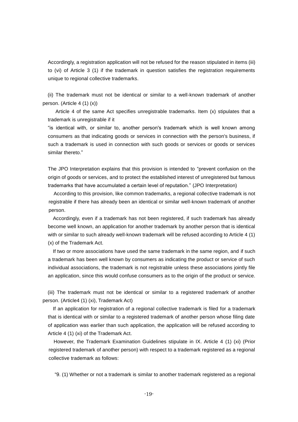Accordingly, a registration application will not be refused for the reason stipulated in items (iii) to (vi) of Article 3 (1) if the trademark in question satisfies the registration requirements unique to regional collective trademarks.

(ii) The trademark must not be identical or similar to a well-known trademark of another person. (Article 4 (1) (x))

Article 4 of the same Act specifies unregistrable trademarks. Item (x) stipulates that a trademark is unregistrable if it

"is identical with, or similar to, another person's trademark which is well known among consumers as that indicating goods or services in connection with the person's business, if such a trademark is used in connection with such goods or services or goods or services similar thereto."

The JPO Interpretation explains that this provision is intended to "prevent confusion on the origin of goods or services, and to protect the established interest of unregistered but famous trademarks that have accumulated a certain level of reputation." (JPO Interpretation)

According to this provision, like common trademarks, a regional collective trademark is not registrable if there has already been an identical or similar well-known trademark of another person.

Accordingly, even if a trademark has not been registered, if such trademark has already become well known, an application for another trademark by another person that is identical with or similar to such already well-known trademark will be refused according to Article 4 (1) (x) of the Trademark Act.

If two or more associations have used the same trademark in the same region, and if such a trademark has been well known by consumers as indicating the product or service of such individual associations, the trademark is not registrable unless these associations jointly file an application, since this would confuse consumers as to the origin of the product or service.

(iii) The trademark must not be identical or similar to a registered trademark of another person. (Article4 (1) (xi), Trademark Act)

If an application for registration of a regional collective trademark is filed for a trademark that is identical with or similar to a registered trademark of another person whose filing date of application was earlier than such application, the application will be refused according to Article 4 (1) (xi) of the Trademark Act.

However, the Trademark Examination Guidelines stipulate in IX. Article 4 (1) (xi) (Prior registered trademark of another person) with respect to a trademark registered as a regional collective trademark as follows:

"9. (1) Whether or not a trademark is similar to another trademark registered as a regional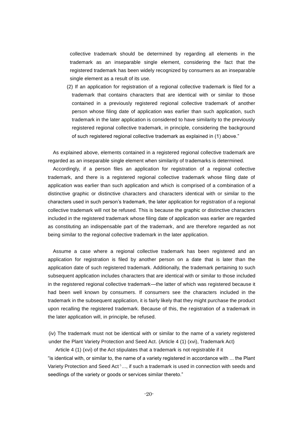collective trademark should be determined by regarding all elements in the trademark as an inseparable single element, considering the fact that the registered trademark has been widely recognized by consumers as an inseparable single element as a result of its use.

(2) If an application for registration of a regional collective trademark is filed for a trademark that contains characters that are identical with or similar to those contained in a previously registered regional collective trademark of another person whose filing date of application was earlier than such application, such trademark in the later application is considered to have similarity to the previously registered regional collective trademark, in principle, considering the background of such registered regional collective trademark as explained in (1) above."

As explained above, elements contained in a registered regional collective trademark are regarded as an inseparable single element when similarity of trademarks is determined.

Accordingly, if a person files an application for registration of a regional collective trademark, and there is a registered regional collective trademark whose filing date of application was earlier than such application and which is comprised of a combination of a distinctive graphic or distinctive characters and characters identical with or similar to the characters used in such person's trademark, the later application for registration of a regional collective trademark will not be refused. This is because the graphic or distinctive characters included in the registered trademark whose filing date of application was earlier are regarded as constituting an indispensable part of the trademark, and are therefore regarded as not being similar to the regional collective trademark in the later application.

Assume a case where a regional collective trademark has been registered and an application for registration is filed by another person on a date that is later than the application date of such registered trademark. Additionally, the trademark pertaining to such subsequent application includes characters that are identical with or similar to those included in the registered regional collective trademark—the latter of which was registered because it had been well known by consumers. If consumers see the characters included in the trademark in the subsequent application, it is fairly likely that they might purchase the product upon recalling the registered trademark. Because of this, the registration of a trademark in the later application will, in principle, be refused.

(iv) The trademark must not be identical with or similar to the name of a variety registered under the Plant Variety Protection and Seed Act. (Article 4 (1) (xvi), Trademark Act)

Article 4 (1) (xvi) of the Act stipulates that a trademark is not registrable if it

"is identical with, or similar to, the name of a variety registered in accordance with ... the Plant Variety Protection and Seed Act<sup>5</sup>..., if such a trademark is used in connection with seeds and seedlings of the variety or goods or services similar thereto."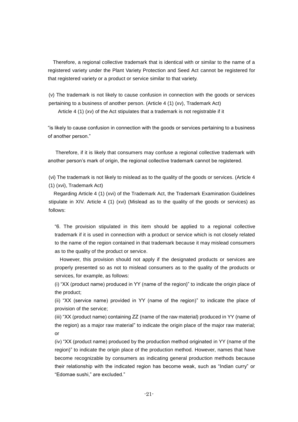Therefore, a regional collective trademark that is identical with or similar to the name of a registered variety under the Plant Variety Protection and Seed Act cannot be registered for that registered variety or a product or service similar to that variety.

(v) The trademark is not likely to cause confusion in connection with the goods or services pertaining to a business of another person. (Article 4 (1) (xv), Trademark Act)

Article 4 (1) (xv) of the Act stipulates that a trademark is not registrable if it

"is likely to cause confusion in connection with the goods or services pertaining to a business of another person."

Therefore, if it is likely that consumers may confuse a regional collective trademark with another person's mark of origin, the regional collective trademark cannot be registered.

(vi) The trademark is not likely to mislead as to the quality of the goods or services. (Article 4 (1) (xvi), Trademark Act)

Regarding Article 4 (1) (xvi) of the Trademark Act, the Trademark Examination Guidelines stipulate in XIV. Article 4 (1) (xvi) (Mislead as to the quality of the goods or services) as follows:

"6. The provision stipulated in this item should be applied to a regional collective trademark if it is used in connection with a product or service which is not closely related to the name of the region contained in that trademark because it may mislead consumers as to the quality of the product or service.

However, this provision should not apply if the designated products or services are properly presented so as not to mislead consumers as to the quality of the products or services, for example, as follows:

(i) "XX (product name) produced in YY (name of the region)" to indicate the origin place of the product;

(ii) "XX (service name) provided in YY (name of the region)" to indicate the place of provision of the service;

(iii) "XX (product name) containing ZZ (name of the raw material) produced in YY (name of the region) as a major raw material" to indicate the origin place of the major raw material; or

(iv) "XX (product name) produced by the production method originated in YY (name of the region)" to indicate the origin place of the production method. However, names that have become recognizable by consumers as indicating general production methods because their relationship with the indicated region has become weak, such as "Indian curry" or "Edomae sushi," are excluded."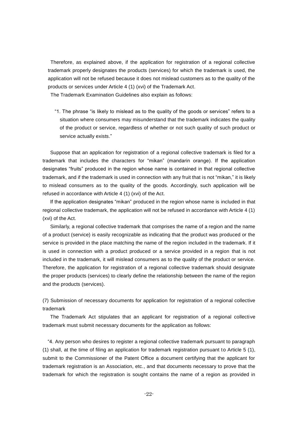Therefore, as explained above, if the application for registration of a regional collective trademark properly designates the products (services) for which the trademark is used, the application will not be refused because it does not mislead customers as to the quality of the products or services under Article 4 (1) (xvi) of the Trademark Act.

The Trademark Examination Guidelines also explain as follows:

"1. The phrase "is likely to mislead as to the quality of the goods or services" refers to a situation where consumers may misunderstand that the trademark indicates the quality of the product or service, regardless of whether or not such quality of such product or service actually exists."

Suppose that an application for registration of a regional collective trademark is filed for a trademark that includes the characters for "mikan" (mandarin orange). If the application designates "fruits" produced in the region whose name is contained in that regional collective trademark, and if the trademark is used in connection with any fruit that is not "mikan," it is likely to mislead consumers as to the quality of the goods. Accordingly, such application will be refused in accordance with Article 4 (1) (xvi) of the Act.

If the application designates "mikan" produced in the region whose name is included in that regional collective trademark, the application will not be refused in accordance with Article 4 (1) (xvi) of the Act.

Similarly, a regional collective trademark that comprises the name of a region and the name of a product (service) is easily recognizable as indicating that the product was produced or the service is provided in the place matching the name of the region included in the trademark. If it is used in connection with a product produced or a service provided in a region that is not included in the trademark, it will mislead consumers as to the quality of the product or service. Therefore, the application for registration of a regional collective trademark should designate the proper products (services) to clearly define the relationship between the name of the region and the products (services).

(7) Submission of necessary documents for application for registration of a regional collective trademark

The Trademark Act stipulates that an applicant for registration of a regional collective trademark must submit necessary documents for the application as follows:

"4. Any person who desires to register a regional collective trademark pursuant to paragraph (1) shall, at the time of filing an application for trademark registration pursuant to Article 5 (1), submit to the Commissioner of the Patent Office a document certifying that the applicant for trademark registration is an Association, etc., and that documents necessary to prove that the trademark for which the registration is sought contains the name of a region as provided in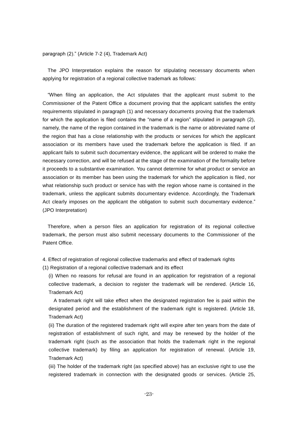paragraph (2)." (Article 7-2 (4), Trademark Act)

The JPO Interpretation explains the reason for stipulating necessary documents when applying for registration of a regional collective trademark as follows:

"When filing an application, the Act stipulates that the applicant must submit to the Commissioner of the Patent Office a document proving that the applicant satisfies the entity requirements stipulated in paragraph (1) and necessary documents proving that the trademark for which the application is filed contains the "name of a region" stipulated in paragraph (2), namely, the name of the region contained in the trademark is the name or abbreviated name of the region that has a close relationship with the products or services for which the applicant association or its members have used the trademark before the application is filed. If an applicant fails to submit such documentary evidence, the applicant will be ordered to make the necessary correction, and will be refused at the stage of the examination of the formality before it proceeds to a substantive examination. You cannot determine for what product or service an association or its member has been using the trademark for which the application is filed, nor what relationship such product or service has with the region whose name is contained in the trademark, unless the applicant submits documentary evidence. Accordingly, the Trademark Act clearly imposes on the applicant the obligation to submit such documentary evidence." (JPO Interpretation)

Therefore, when a person files an application for registration of its regional collective trademark, the person must also submit necessary documents to the Commissioner of the Patent Office.

4. Effect of registration of regional collective trademarks and effect of trademark rights

(1) Registration of a regional collective trademark and its effect

(i) When no reasons for refusal are found in an application for registration of a regional collective trademark, a decision to register the trademark will be rendered. (Article 16, Trademark Act)

A trademark right will take effect when the designated registration fee is paid within the designated period and the establishment of the trademark right is registered. (Article 18, Trademark Act)

(ii) The duration of the registered trademark right will expire after ten years from the date of registration of establishment of such right, and may be renewed by the holder of the trademark right (such as the association that holds the trademark right in the regional collective trademark) by filing an application for registration of renewal. (Article 19, Trademark Act)

(iii) The holder of the trademark right (as specified above) has an exclusive right to use the registered trademark in connection with the designated goods or services. (Article 25,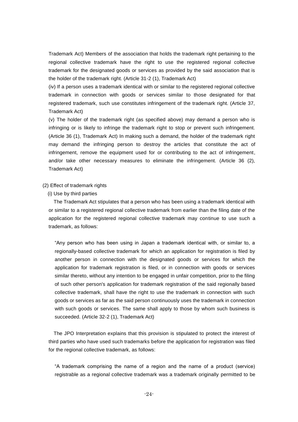Trademark Act) Members of the association that holds the trademark right pertaining to the regional collective trademark have the right to use the registered regional collective trademark for the designated goods or services as provided by the said association that is the holder of the trademark right. (Article 31-2 (1), Trademark Act)

(iv) If a person uses a trademark identical with or similar to the registered regional collective trademark in connection with goods or services similar to those designated for that registered trademark, such use constitutes infringement of the trademark right. (Article 37, Trademark Act)

(v) The holder of the trademark right (as specified above) may demand a person who is infringing or is likely to infringe the trademark right to stop or prevent such infringement. (Article 36 (1), Trademark Act) In making such a demand, the holder of the trademark right may demand the infringing person to destroy the articles that constitute the act of infringement, remove the equipment used for or contributing to the act of infringement, and/or take other necessary measures to eliminate the infringement. (Article 36 (2), Trademark Act)

# (2) Effect of trademark rights

#### (i) Use by third parties

The Trademark Act stipulates that a person who has been using a trademark identical with or similar to a registered regional collective trademark from earlier than the filing date of the application for the registered regional collective trademark may continue to use such a trademark, as follows:

"Any person who has been using in Japan a trademark identical with, or similar to, a regionally-based collective trademark for which an application for registration is filed by another person in connection with the designated goods or services for which the application for trademark registration is filed, or in connection with goods or services similar thereto, without any intention to be engaged in unfair competition, prior to the filing of such other person's application for trademark registration of the said regionally based collective trademark, shall have the right to use the trademark in connection with such goods or services as far as the said person continuously uses the trademark in connection with such goods or services. The same shall apply to those by whom such business is succeeded. (Article 32-2 (1), Trademark Act)

The JPO Interpretation explains that this provision is stipulated to protect the interest of third parties who have used such trademarks before the application for registration was filed for the regional collective trademark, as follows:

"A trademark comprising the name of a region and the name of a product (service) registrable as a regional collective trademark was a trademark originally permitted to be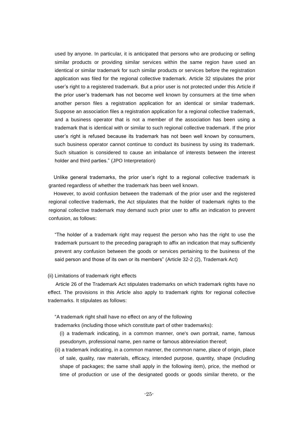used by anyone. In particular, it is anticipated that persons who are producing or selling similar products or providing similar services within the same region have used an identical or similar trademark for such similar products or services before the registration application was filed for the regional collective trademark. Article 32 stipulates the prior user's right to a registered trademark. But a prior user is not protected under this Article if the prior user's trademark has not become well known by consumers at the time when another person files a registration application for an identical or similar trademark. Suppose an association files a registration application for a regional collective trademark, and a business operator that is not a member of the association has been using a trademark that is identical with or similar to such regional collective trademark. If the prior user's right is refused because its trademark has not been well known by consumers, such business operator cannot continue to conduct its business by using its trademark. Such situation is considered to cause an imbalance of interests between the interest holder and third parties." (JPO Interpretation)

Unlike general trademarks, the prior user's right to a regional collective trademark is granted regardless of whether the trademark has been well known.

However, to avoid confusion between the trademark of the prior user and the registered regional collective trademark, the Act stipulates that the holder of trademark rights to the regional collective trademark may demand such prior user to affix an indication to prevent confusion, as follows:

"The holder of a trademark right may request the person who has the right to use the trademark pursuant to the preceding paragraph to affix an indication that may sufficiently prevent any confusion between the goods or services pertaining to the business of the said person and those of its own or its members" (Article 32-2 (2), Trademark Act)

(ii) Limitations of trademark right effects

Article 26 of the Trademark Act stipulates trademarks on which trademark rights have no effect. The provisions in this Article also apply to trademark rights for regional collective trademarks. It stipulates as follows:

"A trademark right shall have no effect on any of the following

trademarks (including those which constitute part of other trademarks):

(i) a trademark indicating, in a common manner, one's own portrait, name, famous pseudonym, professional name, pen name or famous abbreviation thereof;

(ii) a trademark indicating, in a common manner, the common name, place of origin, place of sale, quality, raw materials, efficacy, intended purpose, quantity, shape (including shape of packages; the same shall apply in the following item), price, the method or time of production or use of the designated goods or goods similar thereto, or the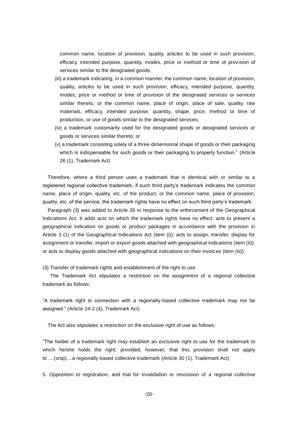common name, location of provision, quality, articles to be used in such provision, efficacy, intended purpose, quantity, modes, price or method or time of provision of services similar to the designated goods;

- (iii) a trademark indicating, in a common manner, the common name, location of provision, quality, articles to be used in such provision, efficacy, intended purpose, quantity, modes, price or method or time of provision of the designated services or services similar thereto, or the common name, place of origin, place of sale, quality, raw materials, efficacy, intended purpose, quantity, shape, price, method or time of production, or use of goods similar to the designated services;
- (iv) a trademark customarily used for the designated goods or designated services or goods or services similar thereto; or
- (v) a trademark consisting solely of a three-dimensional shape of goods or their packaging which is indispensable for such goods or their packaging to properly function." (Article 26 (1), Trademark Act)

Therefore, where a third person uses a trademark that is identical with or similar to a registered regional collective trademark, if such third party's trademark indicates the common name, place of origin, quality, etc. of the product, or the common name, place of provision, quality, etc. of the service, the trademark rights have no effect on such third party's trademark.

Paragraph (3) was added to Article 26 in response to the enforcement of the Geographical Indications Act. It adds acts on which the trademark rights have no effect: acts to present a geographical indication on goods or product packages in accordance with the provision in Article 3 (1) of the Geographical Indications Act (item (i)); acts to assign, transfer, display for assignment or transfer, import or export goods attached with geographical indications (item (ii)); or acts to display goods attached with geographical indications on their invoices (item (iii)).

(3) Transfer of trademark rights and establishment of the right to use

The Trademark Act stipulates a restriction on the assignment of a regional collective trademark as follows:

"A trademark right in connection with a regionally-based collective trademark may not be assigned." (Article 24-2 (4), Trademark Act)

The Act also stipulates a restriction on the exclusive right of use as follows:

"The holder of a trademark right may establish an exclusive right to use for the trademark to which he/she holds the right; provided, however, that this provision shall not apply to ....(snip)....a regionally based collective trademark (Article 30 (1), Trademark Act)

5. Opposition to registration, and trial for invalidation or rescission of a regional collective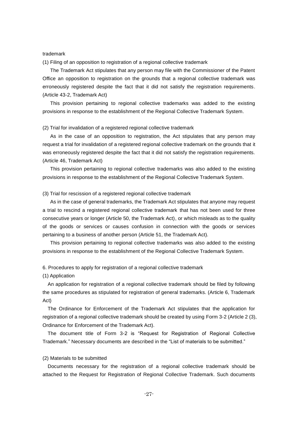#### trademark

(1) Filing of an opposition to registration of a regional collective trademark

The Trademark Act stipulates that any person may file with the Commissioner of the Patent Office an opposition to registration on the grounds that a regional collective trademark was erroneously registered despite the fact that it did not satisfy the registration requirements. (Article 43-2, Trademark Act)

This provision pertaining to regional collective trademarks was added to the existing provisions in response to the establishment of the Regional Collective Trademark System.

#### (2) Trial for invalidation of a registered regional collective trademark

As in the case of an opposition to registration, the Act stipulates that any person may request a trial for invalidation of a registered regional collective trademark on the grounds that it was erroneously registered despite the fact that it did not satisfy the registration requirements. (Article 46, Trademark Act)

This provision pertaining to regional collective trademarks was also added to the existing provisions in response to the establishment of the Regional Collective Trademark System.

#### (3) Trial for rescission of a registered regional collective trademark

As in the case of general trademarks, the Trademark Act stipulates that anyone may request a trial to rescind a registered regional collective trademark that has not been used for three consecutive years or longer (Article 50, the Trademark Act), or which misleads as to the quality of the goods or services or causes confusion in connection with the goods or services pertaining to a business of another person (Article 51, the Trademark Act).

This provision pertaining to regional collective trademarks was also added to the existing provisions in response to the establishment of the Regional Collective Trademark System.

## 6. Procedures to apply for registration of a regional collective trademark

(1) Application

An application for registration of a regional collective trademark should be filed by following the same procedures as stipulated for registration of general trademarks. (Article 6, Trademark Act)

The Ordinance for Enforcement of the Trademark Act stipulates that the application for registration of a regional collective trademark should be created by using Form 3-2 (Article 2 (3), Ordinance for Enforcement of the Trademark Act).

The document title of Form 3-2 is "Request for Registration of Regional Collective Trademark." Necessary documents are described in the "List of materials to be submitted."

#### (2) Materials to be submitted

Documents necessary for the registration of a regional collective trademark should be attached to the Request for Registration of Regional Collective Trademark. Such documents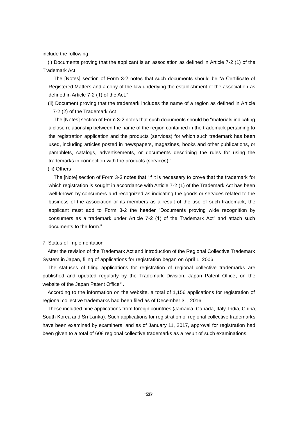include the following:

(i) Documents proving that the applicant is an association as defined in Article 7-2 (1) of the Trademark Act

The [Notes] section of Form 3-2 notes that such documents should be "a Certificate of Registered Matters and a copy of the law underlying the establishment of the association as defined in Article 7-2 (1) of the Act."

(ii) Document proving that the trademark includes the name of a region as defined in Article 7-2 (2) of the Trademark Act

The [Notes] section of Form 3-2 notes that such documents should be "materials indicating a close relationship between the name of the region contained in the trademark pertaining to the registration application and the products (services) for which such trademark has been used, including articles posted in newspapers, magazines, books and other publications, or pamphlets, catalogs, advertisements, or documents describing the rules for using the trademarks in connection with the products (services)."

(iii) Others

The [Note] section of Form 3-2 notes that "if it is necessary to prove that the trademark for which registration is sought in accordance with Article 7-2 (1) of the Trademark Act has been well-known by consumers and recognized as indicating the goods or services related to the business of the association or its members as a result of the use of such trademark, the applicant must add to Form 3-2 the header "Documents proving wide recognition by consumers as a trademark under Article 7-2 (1) of the Trademark Act" and attach such documents to the form."

#### 7. Status of implementation

After the revision of the Trademark Act and introduction of the Regional Collective Trademark System in Japan, filing of applications for registration began on April 1, 2006.

The statuses of filing applications for registration of regional collective trademarks are published and updated regularly by the Trademark Division, Japan Patent Office, on the website of the Japan Patent Office  $6$ .

According to the information on the website, a total of 1,156 applications for registration of regional collective trademarks had been filed as of December 31, 2016.

These included nine applications from foreign countries (Jamaica, Canada, Italy, India, China, South Korea and Sri Lanka). Such applications for registration of regional collective trademarks have been examined by examiners, and as of January 11, 2017, approval for registration had been given to a total of 608 regional collective trademarks as a result of such examinations.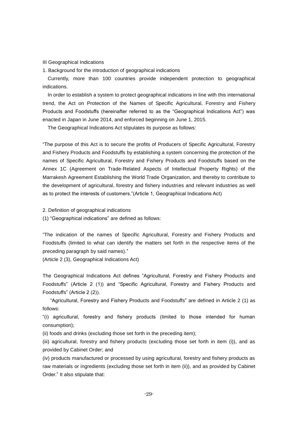III Geographical Indications

1. Background for the introduction of geographical indications

Currently, more than 100 countries provide independent protection to geographical indications.

In order to establish a system to protect geographical indications in line with this international trend, the Act on Protection of the Names of Specific Agricultural, Forestry and Fishery Products and Foodstuffs (hereinafter referred to as the "Geographical Indications Act") was enacted in Japan in June 2014, and enforced beginning on June 1, 2015.

The Geographical Indications Act stipulates its purpose as follows:

"The purpose of this Act is to secure the profits of Producers of Specific Agricultural, Forestry and Fishery Products and Foodstuffs by establishing a system concerning the protection of the names of Specific Agricultural, Forestry and Fishery Products and Foodstuffs based on the Annex 1C (Agreement on Trade-Related Aspects of Intellectual Property Rights) of the Marrakesh Agreement Establishing the World Trade Organization, and thereby to contribute to the development of agricultural, forestry and fishery industries and relevant industries as well as to protect the interests of customers."(Article 1, Geographical Indications Act)

2. Definition of geographical indications

(1) "Geographical indications" are defined as follows:

"The indication of the names of Specific Agricultural, Forestry and Fishery Products and Foodstuffs (limited to what can identify the matters set forth in the respective items of the preceding paragraph by said names)."

(Article 2 (3), Geographical Indications Act)

The Geographical Indications Act defines "Agricultural, Forestry and Fishery Products and Foodstuffs" (Article 2 (1)) and "Specific Agricultural, Forestry and Fishery Products and Foodstuffs" (Article 2 (2)).

"Agricultural, Forestry and Fishery Products and Foodstuffs" are defined in Article 2 (1) as follows:

"(i) agricultural, forestry and fishery products (limited to those intended for human consumption);

(ii) foods and drinks (excluding those set forth in the preceding item);

(iii) agricultural, forestry and fishery products (excluding those set forth in item (i)), and as provided by Cabinet Order; and

(iv) products manufactured or processed by using agricultural, forestry and fishery products as raw materials or ingredients (excluding those set forth in item (ii)), and as provided by Cabinet Order." It also stipulate that: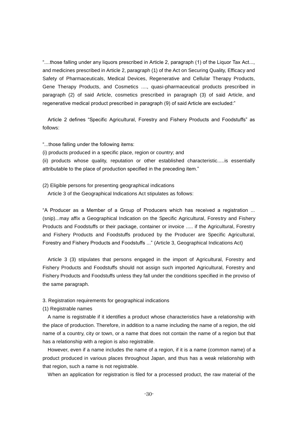"....those falling under any liquors prescribed in Article 2, paragraph (1) of the Liquor Tax Act..., and medicines prescribed in Article 2, paragraph (1) of the Act on Securing Quality, Efficacy and Safety of Pharmaceuticals, Medical Devices, Regenerative and Cellular Therapy Products, Gene Therapy Products, and Cosmetics ...., quasi-pharmaceutical products prescribed in paragraph (2) of said Article, cosmetics prescribed in paragraph (3) of said Article, and regenerative medical product prescribed in paragraph (9) of said Article are excluded:"

Article 2 defines "Specific Agricultural, Forestry and Fishery Products and Foodstuffs" as follows:

"...those falling under the following items:

(i) products produced in a specific place, region or country; and

(ii) products whose quality, reputation or other established characteristic.....is essentially attributable to the place of production specified in the preceding item."

(2) Eligible persons for presenting geographical indications Article 3 of the Geographical Indications Act stipulates as follows:

"A Producer as a Member of a Group of Producers which has received a registration ... (snip)...may affix a Geographical Indication on the Specific Agricultural, Forestry and Fishery Products and Foodstuffs or their package, container or invoice ..... if the Agricultural, Forestry and Fishery Products and Foodstuffs produced by the Producer are Specific Agricultural, Forestry and Fishery Products and Foodstuffs ..." (Article 3, Geographical Indications Act)

Article 3 (3) stipulates that persons engaged in the import of Agricultural, Forestry and Fishery Products and Foodstuffs should not assign such imported Agricultural, Forestry and Fishery Products and Foodstuffs unless they fall under the conditions specified in the proviso of the same paragraph.

3. Registration requirements for geographical indications

(1) Registrable names

A name is registrable if it identifies a product whose characteristics have a relationship with the place of production. Therefore, in addition to a name including the name of a region, the old name of a country, city or town, or a name that does not contain the name of a region but that has a relationship with a region is also registrable.

However, even if a name includes the name of a region, if it is a name (common name) of a product produced in various places throughout Japan, and thus has a weak relationship with that region, such a name is not registrable.

When an application for registration is filed for a processed product, the raw material of the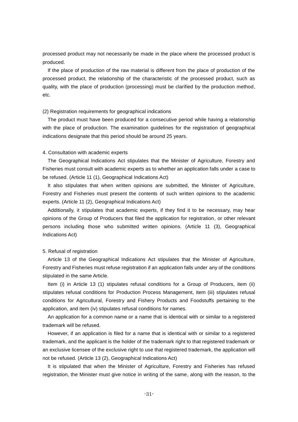processed product may not necessarily be made in the place where the processed product is produced.

If the place of production of the raw material is different from the place of production of the processed product, the relationship of the characteristic of the processed product, such as quality, with the place of production (processing) must be clarified by the production method, etc.

#### (2) Registration requirements for geographical indications

The product must have been produced for a consecutive period while having a relationship with the place of production. The examination guidelines for the registration of geographical indications designate that this period should be around 25 years.

## 4. Consultation with academic experts

The Geographical Indications Act stipulates that the Minister of Agriculture, Forestry and Fisheries must consult with academic experts as to whether an application falls under a case to be refused. (Article 11 (1), Geographical Indications Act)

It also stipulates that when written opinions are submitted, the Minister of Agriculture, Forestry and Fisheries must present the contents of such written opinions to the academic experts. (Article 11 (2), Geographical Indications Act)

Additionally, it stipulates that academic experts, if they find it to be necessary, may hear opinions of the Group of Producers that filed the application for registration, or other relevant persons including those who submitted written opinions. (Article 11 (3), Geographical Indications Act)

#### 5. Refusal of registration

Article 13 of the Geographical Indications Act stipulates that the Minister of Agriculture, Forestry and Fisheries must refuse registration if an application falls under any of the conditions stipulated in the same Article.

Item (i) in Article 13 (1) stipulates refusal conditions for a Group of Producers, item (ii) stipulates refusal conditions for Production Process Management, item (iii) stipulates refusal conditions for Agricultural, Forestry and Fishery Products and Foodstuffs pertaining to the application, and item (iv) stipulates refusal conditions for names.

An application for a common name or a name that is identical with or similar to a registered trademark will be refused.

However, if an application is filed for a name that is identical with or similar to a registered trademark, and the applicant is the holder of the trademark right to that registered trademark or an exclusive licensee of the exclusive right to use that registered trademark, the application will not be refused. (Article 13 (2), Geographical Indications Act)

It is stipulated that when the Minister of Agriculture, Forestry and Fisheries has refused registration, the Minister must give notice in writing of the same, along with the reason, to the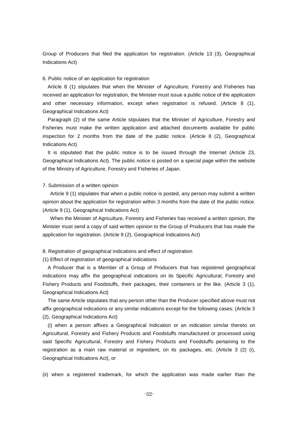Group of Producers that filed the application for registration. (Article 13 (3), Geographical Indications Act)

#### 6. Public notice of an application for registration

Article 8 (1) stipulates that when the Minister of Agriculture, Forestry and Fisheries has received an application for registration, the Minister must issue a public notice of the application and other necessary information, except when registration is refused. (Article 8 (1), Geographical Indications Act)

Paragraph (2) of the same Article stipulates that the Minister of Agriculture, Forestry and Fisheries must make the written application and attached documents available for public inspection for 2 months from the date of the public notice. (Article 8 (2), Geographical Indications Act)

It is stipulated that the public notice is to be issued through the Internet (Article 23, Geographical Indications Act). The public notice is posted on a special page within the website of the Ministry of Agriculture, Forestry and Fisheries of Japan.

# 7. Submission of a written opinion

Article 9 (1) stipulates that when a public notice is posted, any person may submit a written opinion about the application for registration within 3 months from the date of the public notice. (Article 9 (1), Geographical Indications Act)

When the Minister of Agriculture, Forestry and Fisheries has received a written opinion, the Minister must send a copy of said written opinion to the Group of Producers that has made the application for registration. (Article 9 (2), Geographical Indications Act)

# 8. Registration of geographical indications and effect of registration

(1) Effect of registration of geographical indications

A Producer that is a Member of a Group of Producers that has registered geographical indications may affix the geographical indications on its Specific Agricultural, Forestry and Fishery Products and Foodstuffs, their packages, their containers or the like. (Article 3 (1), Geographical Indications Act)

The same Article stipulates that any person other than the Producer specified above must not affix geographical indications or any similar indications except for the following cases: (Article 3 (2), Geographical Indications Act)

(i) when a person affixes a Geographical Indication or an indication similar thereto on Agricultural, Forestry and Fishery Products and Foodstuffs manufactured or processed using said Specific Agricultural, Forestry and Fishery Products and Foodstuffs pertaining to the registration as a main raw material or ingredient, on its packages, etc. (Article 3 (2) (i), Geographical Indications Act), or

(ii) when a registered trademark, for which the application was made earlier than the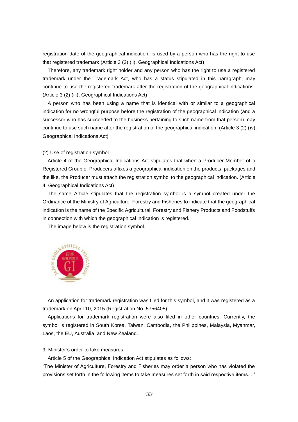registration date of the geographical indication, is used by a person who has the right to use that registered trademark (Article 3 (2) (ii), Geographical Indications Act)

Therefore, any trademark right holder and any person who has the right to use a registered trademark under the Trademark Act, who has a status stipulated in this paragraph, may continue to use the registered trademark after the registration of the geographical indications. (Article 3 (2) (iii), Geographical Indications Act)

A person who has been using a name that is identical with or similar to a geographical indication for no wrongful purpose before the registration of the geographical indication (and a successor who has succeeded to the business pertaining to such name from that person) may continue to use such name after the registration of the geographical indication. (Article 3 (2) (iv), Geographical Indications Act)

(2) Use of registration symbol

Article 4 of the Geographical Indications Act stipulates that when a Producer Member of a Registered Group of Producers affixes a geographical indication on the products, packages and the like, the Producer must attach the registration symbol to the geographical indication. (Article 4, Geographical Indications Act)

The same Article stipulates that the registration symbol is a symbol created under the Ordinance of the Ministry of Agriculture, Forestry and Fisheries to indicate that the geographical indication is the name of the Specific Agricultural, Forestry and Fishery Products and Foodstuffs in connection with which the geographical indication is registered.

The image below is the registration symbol.



An application for trademark registration was filed for this symbol, and it was registered as a trademark on April 10, 2015 (Registration No. 5756405).

Applications for trademark registration were also filed in other countries. Currently, the symbol is registered in South Korea, Taiwan, Cambodia, the Philippines, Malaysia, Myanmar, Laos, the EU, Australia, and New Zealand.

#### 9. Minister's order to take measures

Article 5 of the Geographical Indication Act stipulates as follows:

"The Minister of Agriculture, Forestry and Fisheries may order a person who has violated the provisions set forth in the following items to take measures set forth in said respective items...."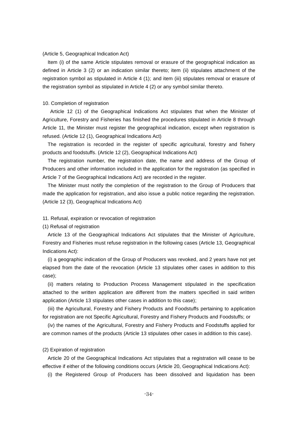#### (Article 5, Geographical Indication Act)

Item (i) of the same Article stipulates removal or erasure of the geographical indication as defined in Article 3 (2) or an indication similar thereto; item (ii) stipulates attachment of the registration symbol as stipulated in Article 4 (1); and item (iii) stipulates removal or erasure of the registration symbol as stipulated in Article 4 (2) or any symbol similar thereto.

# 10. Completion of registration

Article 12 (1) of the Geographical Indications Act stipulates that when the Minister of Agriculture, Forestry and Fisheries has finished the procedures stipulated in Article 8 through Article 11, the Minister must register the geographical indication, except when registration is refused. (Article 12 (1), Geographical Indications Act)

The registration is recorded in the register of specific agricultural, forestry and fishery products and foodstuffs. (Article 12 (2), Geographical Indications Act)

The registration number, the registration date, the name and address of the Group of Producers and other information included in the application for the registration (as specified in Article 7 of the Geographical Indications Act) are recorded in the register.

The Minister must notify the completion of the registration to the Group of Producers that made the application for registration, and also issue a public notice regarding the registration. (Article 12 (3), Geographical Indications Act)

# 11. Refusal, expiration or revocation of registration

(1) Refusal of registration

Article 13 of the Geographical Indications Act stipulates that the Minister of Agriculture, Forestry and Fisheries must refuse registration in the following cases (Article 13, Geographical Indications Act):

(i) a geographic indication of the Group of Producers was revoked, and 2 years have not yet elapsed from the date of the revocation (Article 13 stipulates other cases in addition to this case);

(ii) matters relating to Production Process Management stipulated in the specification attached to the written application are different from the matters specified in said written application (Article 13 stipulates other cases in addition to this case);

(iii) the Agricultural, Forestry and Fishery Products and Foodstuffs pertaining to application for registration are not Specific Agricultural, Forestry and Fishery Products and Foodstuffs; or

(iv) the names of the Agricultural, Forestry and Fishery Products and Foodstuffs applied for are common names of the products (Article 13 stipulates other cases in addition to this case).

#### (2) Expiration of registration

Article 20 of the Geographical Indications Act stipulates that a registration will cease to be effective if either of the following conditions occurs (Article 20, Geographical Indications Act):

(i) the Registered Group of Producers has been dissolved and liquidation has been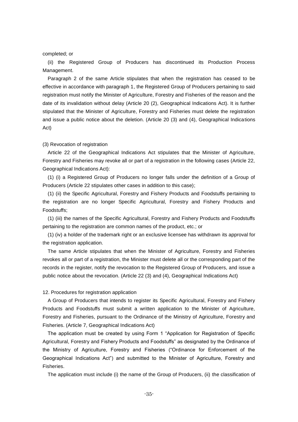#### completed; or

(ii) the Registered Group of Producers has discontinued its Production Process Management.

Paragraph 2 of the same Article stipulates that when the registration has ceased to be effective in accordance with paragraph 1, the Registered Group of Producers pertaining to said registration must notify the Minister of Agriculture, Forestry and Fisheries of the reason and the date of its invalidation without delay (Article 20 (2), Geographical Indications Act). It is further stipulated that the Minister of Agriculture, Forestry and Fisheries must delete the registration and issue a public notice about the deletion. (Article 20 (3) and (4), Geographical Indications Act)

#### (3) Revocation of registration

Article 22 of the Geographical Indications Act stipulates that the Minister of Agriculture, Forestry and Fisheries may revoke all or part of a registration in the following cases (Article 22, Geographical Indications Act):

(1) (i) a Registered Group of Producers no longer falls under the definition of a Group of Producers (Article 22 stipulates other cases in addition to this case);

(1) (ii) the Specific Agricultural, Forestry and Fishery Products and Foodstuffs pertaining to the registration are no longer Specific Agricultural, Forestry and Fishery Products and Foodstuffs;

(1) (iii) the names of the Specific Agricultural, Forestry and Fishery Products and Foodstuffs pertaining to the registration are common names of the product, etc.; or

(1) (iv) a holder of the trademark right or an exclusive licensee has withdrawn its approval for the registration application.

The same Article stipulates that when the Minister of Agriculture, Forestry and Fisheries revokes all or part of a registration, the Minister must delete all or the corresponding part of the records in the register, notify the revocation to the Registered Group of Producers, and issue a public notice about the revocation. (Article 22 (3) and (4), Geographical Indications Act)

# 12. Procedures for registration application

A Group of Producers that intends to register its Specific Agricultural, Forestry and Fishery Products and Foodstuffs must submit a written application to the Minister of Agriculture, Forestry and Fisheries, pursuant to the Ordinance of the Ministry of Agriculture, Forestry and Fisheries. (Article 7, Geographical Indications Act)

The application must be created by using Form 1 "Application for Registration of Specific Agricultural, Forestry and Fishery Products and Foodstuffs" as designated by the Ordinance of the Ministry of Agriculture, Forestry and Fisheries ("Ordinance for Enforcement of the Geographical Indications Act") and submitted to the Minister of Agriculture, Forestry and Fisheries.

The application must include (i) the name of the Group of Producers, (ii) the classification of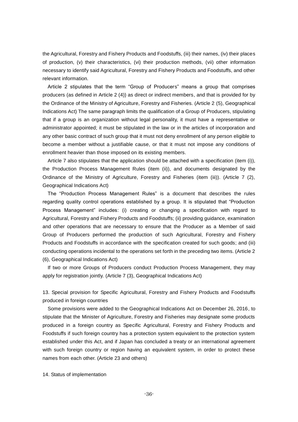the Agricultural, Forestry and Fishery Products and Foodstuffs, (iii) their names, (iv) their places of production, (v) their characteristics, (vi) their production methods, (vii) other information necessary to identify said Agricultural, Forestry and Fishery Products and Foodstuffs, and other relevant information.

Article 2 stipulates that the term "Group of Producers" means a group that comprises producers (as defined in Article 2 (4)) as direct or indirect members, and that is provided for by the Ordinance of the Ministry of Agriculture, Forestry and Fisheries. (Article 2 (5), Geographical Indications Act) The same paragraph limits the qualification of a Group of Producers, stipulating that if a group is an organization without legal personality, it must have a representative or administrator appointed; it must be stipulated in the law or in the articles of incorporation and any other basic contract of such group that it must not deny enrollment of any person eligible to become a member without a justifiable cause, or that it must not impose any conditions of enrollment heavier than those imposed on its existing members.

Article 7 also stipulates that the application should be attached with a specification (item (i)), the Production Process Management Rules (item (ii)), and documents designated by the Ordinance of the Ministry of Agriculture, Forestry and Fisheries (item (iii)). (Article 7 (2), Geographical Indications Act)

The "Production Process Management Rules" is a document that describes the rules regarding quality control operations established by a group. It is stipulated that "Production Process Management" includes: (i) creating or changing a specification with regard to Agricultural, Forestry and Fishery Products and Foodstuffs; (ii) providing guidance, examination and other operations that are necessary to ensure that the Producer as a Member of said Group of Producers performed the production of such Agricultural, Forestry and Fishery Products and Foodstuffs in accordance with the specification created for such goods; and (iii) conducting operations incidental to the operations set forth in the preceding two items. (Article 2 (6), Geographical Indications Act)

If two or more Groups of Producers conduct Production Process Management, they may apply for registration jointly. (Article 7 (3), Geographical Indications Act)

13. Special provision for Specific Agricultural, Forestry and Fishery Products and Foodstuffs produced in foreign countries

Some provisions were added to the Geographical Indications Act on December 26, 2016, to stipulate that the Minister of Agriculture, Forestry and Fisheries may designate some products produced in a foreign country as Specific Agricultural, Forestry and Fishery Products and Foodstuffs if such foreign country has a protection system equivalent to the protection system established under this Act, and if Japan has concluded a treaty or an international agreement with such foreign country or region having an equivalent system, in order to protect these names from each other. (Article 23 and others)

14. Status of implementation